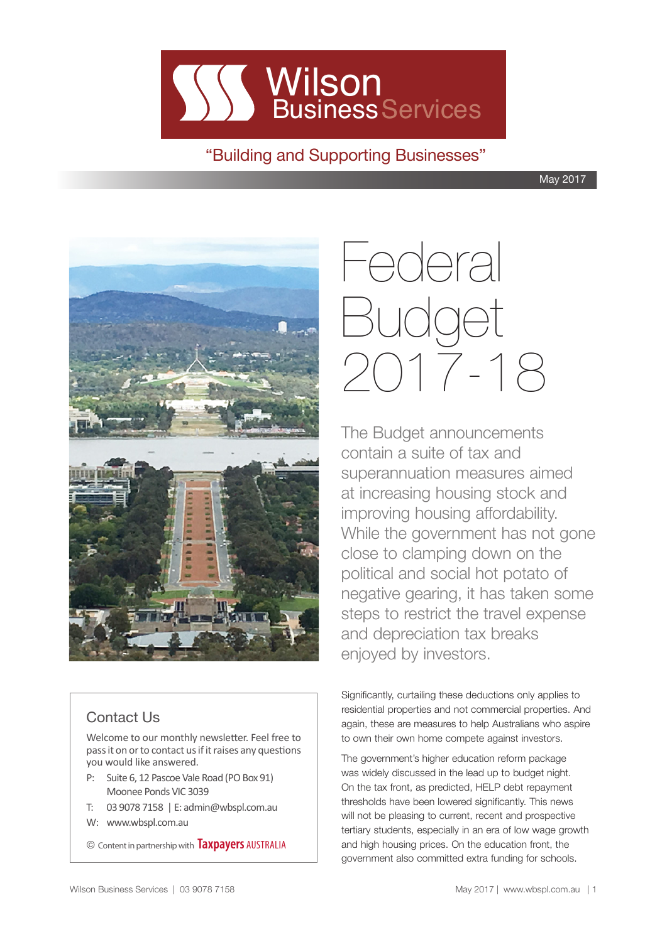

"Building and Supporting Businesses"

May 2017



### Contact Us

Welcome to our monthly newsletter. Feel free to pass it on or to contact us if it raises any questions you would like answered.

- P: Suite 6, 12 Pascoe Vale Road (PO Box 91) Moonee Ponds VIC 3039
- T: 03 9078 7158 | E: admin@wbspl.com.au
- W: www.wbspl.com.au

© Content in partnership with **Taxpayers** AUSTRALIA

# Federal Budget 2017-18

The Budget announcements contain a suite of tax and superannuation measures aimed at increasing housing stock and improving housing affordability. While the government has not gone close to clamping down on the political and social hot potato of negative gearing, it has taken some steps to restrict the travel expense and depreciation tax breaks enjoyed by investors.

Significantly, curtailing these deductions only applies to residential properties and not commercial properties. And again, these are measures to help Australians who aspire to own their own home compete against investors.

The government's higher education reform package was widely discussed in the lead up to budget night. On the tax front, as predicted, HELP debt repayment thresholds have been lowered significantly. This news will not be pleasing to current, recent and prospective tertiary students, especially in an era of low wage growth and high housing prices. On the education front, the government also committed extra funding for schools.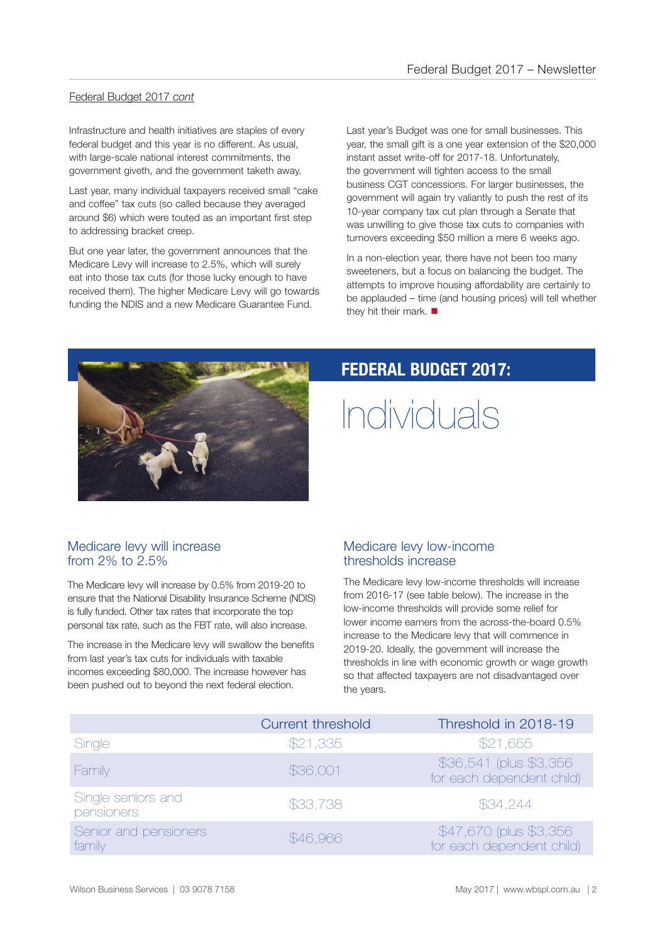### Federal Budget 2017 *cont*

Infrastructure and health initiatives are staples of every federal budget and this year is no different. As usual, with large-scale national interest commitments, the government giveth, and the government taketh away.

Last year, many individual taxpayers received small "cake and coffee" tax cuts (so called because they averaged around \$6) which were touted as an important first step to addressing bracket creep.

But one year later, the government announces that the Medicare Levy will increase to 2.5%, which will surely eat into those tax cuts (for those lucky enough to have received them). The higher Medicare Levy will go towards funding the NDIS and a new Medicare Guarantee Fund.

Last year's Budget was one for small businesses. This year, the small gift is a one year extension of the \$20,000 instant asset write-off for 2017-18. Unfortunately, the government will tighten access to the small business CGT concessions. For larger businesses, the government will again try valiantly to push the rest of its 10-year company tax cut plan through a Senate that was unwilling to give those tax cuts to companies with turnovers exceeding \$50 million a mere 6 weeks ago.

In a non-election year, there have not been too many sweeteners, but a focus on balancing the budget. The attempts to improve housing affordability are certainly to be applauded – time (and housing prices) will tell whether they hit their mark.  $\blacksquare$ 



### **FEDERAL BUDGET 2017:**

## Individuals

### Medicare levy will increase from  $2\%$  to  $2.5\%$

The Medicare levy will increase by 0.5% from 2019-20 to ensure that the National Disability Insurance Scheme (NDIS) is fully funded. Other tax rates that incorporate the top personal tax rate, such as the FBT rate, will also increase.

The increase in the Medicare levy will swallow the benefits from last year's tax cuts for individuals with taxable incomes exceeding \$80,000. The increase however has been pushed out to beyond the next federal election.

### Medicare levy low-income thresholds increase

The Medicare levy low-income thresholds will increase from 2016-17 (see table below). The increase in the low-income thresholds will provide some relief for lower income earners from the across-the-board 0.5% increase to the Medicare levy that will commence in 2019-20. Ideally, the government will increase the thresholds in line with economic growth or wage growth so that affected taxpayers are not disadvantaged over the years.

|                                  | <b>Current threshold</b> | Threshold in 2018-19                                 |
|----------------------------------|--------------------------|------------------------------------------------------|
| Single                           | \$21,335                 | \$21,655                                             |
| Family                           | \$36,001                 | \$36,541 (plus \$3,356)<br>for each dependent child) |
| Single seniors and<br>pensioners | \$33,738                 | \$34,244                                             |
| Senior and pensioners<br>family  | \$46,966                 | \$47,670 (plus \$3,356)<br>for each dependent child) |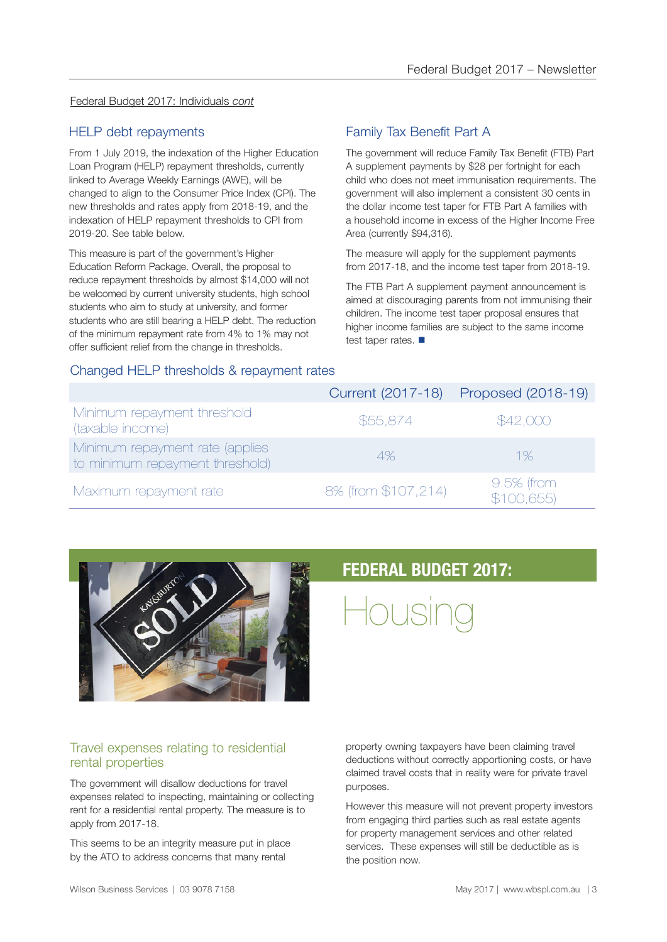### Federal Budget 2017: Individuals *cont*

### HELP debt repayments

From 1 July 2019, the indexation of the Higher Education Loan Program (HELP) repayment thresholds, currently linked to Average Weekly Earnings (AWE), will be changed to align to the Consumer Price Index (CPI). The new thresholds and rates apply from 2018-19, and the indexation of HELP repayment thresholds to CPI from 2019-20. See table below.

This measure is part of the government's Higher Education Reform Package. Overall, the proposal to reduce repayment thresholds by almost \$14,000 will not be welcomed by current university students, high school students who aim to study at university, and former students who are still bearing a HELP debt. The reduction of the minimum repayment rate from 4% to 1% may not offer sufficient relief from the change in thresholds.

### Family Tax Benefit Part A

The government will reduce Family Tax Benefit (FTB) Part A supplement payments by \$28 per fortnight for each child who does not meet immunisation requirements. The government will also implement a consistent 30 cents in the dollar income test taper for FTB Part A families with a household income in excess of the Higher Income Free Area (currently \$94,316).

The measure will apply for the supplement payments from 2017-18, and the income test taper from 2018-19.

The FTB Part A supplement payment announcement is aimed at discouraging parents from not immunising their children. The income test taper proposal ensures that higher income families are subject to the same income test taper rates.  $\blacksquare$ 

### Changed HELP thresholds & repayment rates

|                                                                    |                     | Current (2017-18) Proposed (2018-19) |
|--------------------------------------------------------------------|---------------------|--------------------------------------|
| Minimum repayment threshold<br>(taxable income)                    | \$55,874            | \$42,000                             |
| Minimum repayment rate (applies<br>to minimum repayment threshold) | 4%                  | 1%                                   |
| Maximum repayment rate                                             | 8% (from \$107,214) | $9.5%$ (from<br>\$100,655            |



### Travel expenses relating to residential rental properties

The government will disallow deductions for travel expenses related to inspecting, maintaining or collecting rent for a residential rental property. The measure is to apply from 2017-18.

This seems to be an integrity measure put in place by the ATO to address concerns that many rental

### **FEDERAL BUDGET 2017:**

Housing

property owning taxpayers have been claiming travel deductions without correctly apportioning costs, or have claimed travel costs that in reality were for private travel purposes.

However this measure will not prevent property investors from engaging third parties such as real estate agents for property management services and other related services. These expenses will still be deductible as is the position now.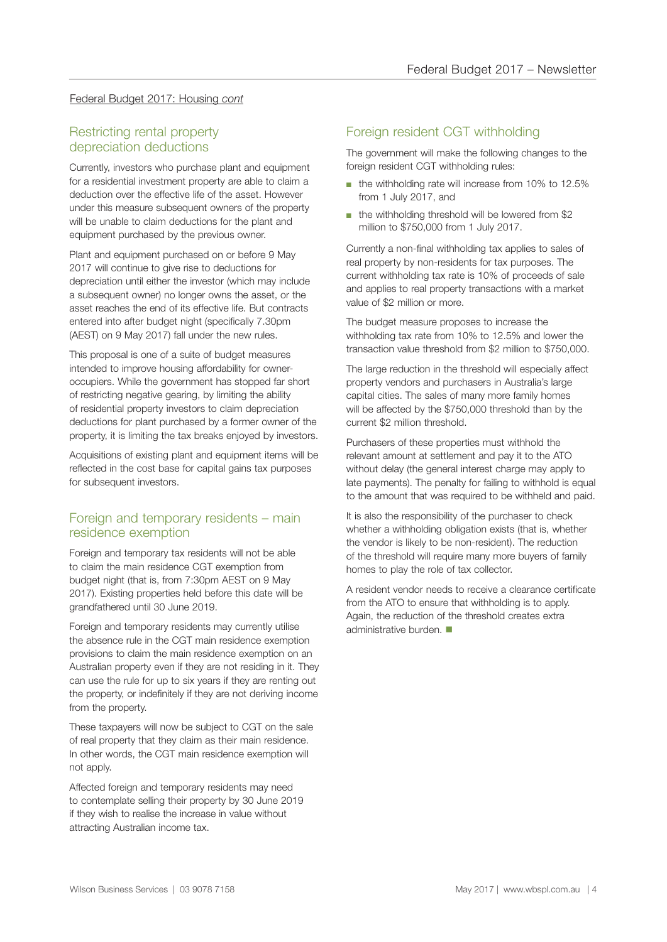### Federal Budget 2017: Housing *cont*

### Restricting rental property depreciation deductions

Currently, investors who purchase plant and equipment for a residential investment property are able to claim a deduction over the effective life of the asset. However under this measure subsequent owners of the property will be unable to claim deductions for the plant and equipment purchased by the previous owner.

Plant and equipment purchased on or before 9 May 2017 will continue to give rise to deductions for depreciation until either the investor (which may include a subsequent owner) no longer owns the asset, or the asset reaches the end of its effective life. But contracts entered into after budget night (specifically 7.30pm (AEST) on 9 May 2017) fall under the new rules.

This proposal is one of a suite of budget measures intended to improve housing affordability for owneroccupiers. While the government has stopped far short of restricting negative gearing, by limiting the ability of residential property investors to claim depreciation deductions for plant purchased by a former owner of the property, it is limiting the tax breaks enjoyed by investors.

Acquisitions of existing plant and equipment items will be reflected in the cost base for capital gains tax purposes for subsequent investors.

### Foreign and temporary residents – main residence exemption

Foreign and temporary tax residents will not be able to claim the main residence CGT exemption from budget night (that is, from 7:30pm AEST on 9 May 2017). Existing properties held before this date will be grandfathered until 30 June 2019.

Foreign and temporary residents may currently utilise the absence rule in the CGT main residence exemption provisions to claim the main residence exemption on an Australian property even if they are not residing in it. They can use the rule for up to six years if they are renting out the property, or indefinitely if they are not deriving income from the property.

These taxpayers will now be subject to CGT on the sale of real property that they claim as their main residence. In other words, the CGT main residence exemption will not apply.

Affected foreign and temporary residents may need to contemplate selling their property by 30 June 2019 if they wish to realise the increase in value without attracting Australian income tax.

### Foreign resident CGT withholding

The government will make the following changes to the foreign resident CGT withholding rules:

- the withholding rate will increase from 10% to 12.5% from 1 July 2017, and
- the withholding threshold will be lowered from \$2 million to \$750,000 from 1 July 2017.

Currently a non-final withholding tax applies to sales of real property by non-residents for tax purposes. The current withholding tax rate is 10% of proceeds of sale and applies to real property transactions with a market value of \$2 million or more.

The budget measure proposes to increase the withholding tax rate from 10% to 12.5% and lower the transaction value threshold from \$2 million to \$750,000.

The large reduction in the threshold will especially affect property vendors and purchasers in Australia's large capital cities. The sales of many more family homes will be affected by the \$750,000 threshold than by the current \$2 million threshold.

Purchasers of these properties must withhold the relevant amount at settlement and pay it to the ATO without delay (the general interest charge may apply to late payments). The penalty for failing to withhold is equal to the amount that was required to be withheld and paid.

It is also the responsibility of the purchaser to check whether a withholding obligation exists (that is, whether the vendor is likely to be non-resident). The reduction of the threshold will require many more buyers of family homes to play the role of tax collector.

A resident vendor needs to receive a clearance certificate from the ATO to ensure that withholding is to apply. Again, the reduction of the threshold creates extra administrative burden.  $\blacksquare$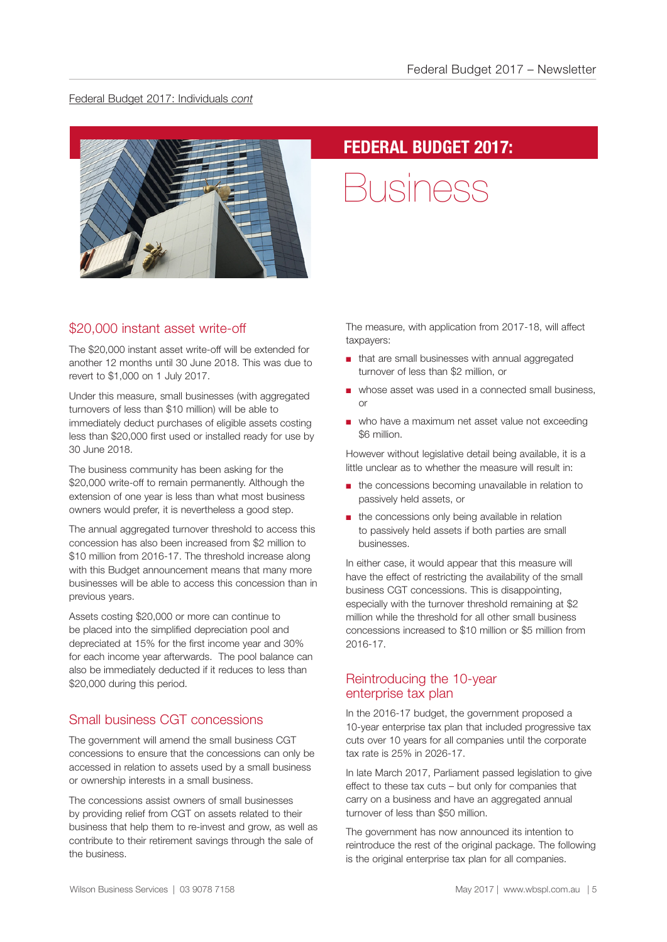#### Federal Budget 2017: Individuals *cont*



### **FEDERAL BUDGET 2017:**

Business

### \$20,000 instant asset write-off

The \$20,000 instant asset write-off will be extended for another 12 months until 30 June 2018. This was due to revert to \$1,000 on 1 July 2017.

Under this measure, small businesses (with aggregated turnovers of less than \$10 million) will be able to immediately deduct purchases of eligible assets costing less than \$20,000 first used or installed ready for use by 30 June 2018.

The business community has been asking for the \$20,000 write-off to remain permanently. Although the extension of one year is less than what most business owners would prefer, it is nevertheless a good step.

The annual aggregated turnover threshold to access this concession has also been increased from \$2 million to \$10 million from 2016-17. The threshold increase along with this Budget announcement means that many more businesses will be able to access this concession than in previous years.

Assets costing \$20,000 or more can continue to be placed into the simplified depreciation pool and depreciated at 15% for the first income year and 30% for each income year afterwards. The pool balance can also be immediately deducted if it reduces to less than \$20,000 during this period.

### Small business CGT concessions

The government will amend the small business CGT concessions to ensure that the concessions can only be accessed in relation to assets used by a small business or ownership interests in a small business.

The concessions assist owners of small businesses by providing relief from CGT on assets related to their business that help them to re-invest and grow, as well as contribute to their retirement savings through the sale of the business.

The measure, with application from 2017-18, will affect taxpayers:

- that are small businesses with annual aggregated turnover of less than \$2 million, or
- whose asset was used in a connected small business, or
- who have a maximum net asset value not exceeding \$6 million.

However without legislative detail being available, it is a little unclear as to whether the measure will result in:

- the concessions becoming unavailable in relation to passively held assets, or
- the concessions only being available in relation to passively held assets if both parties are small businesses.

In either case, it would appear that this measure will have the effect of restricting the availability of the small business CGT concessions. This is disappointing, especially with the turnover threshold remaining at \$2 million while the threshold for all other small business concessions increased to \$10 million or \$5 million from 2016-17.

### Reintroducing the 10-year enterprise tax plan

In the 2016-17 budget, the government proposed a 10-year enterprise tax plan that included progressive tax cuts over 10 years for all companies until the corporate tax rate is 25% in 2026-17.

In late March 2017, Parliament passed legislation to give effect to these tax cuts – but only for companies that carry on a business and have an aggregated annual turnover of less than \$50 million.

The government has now announced its intention to reintroduce the rest of the original package. The following is the original enterprise tax plan for all companies.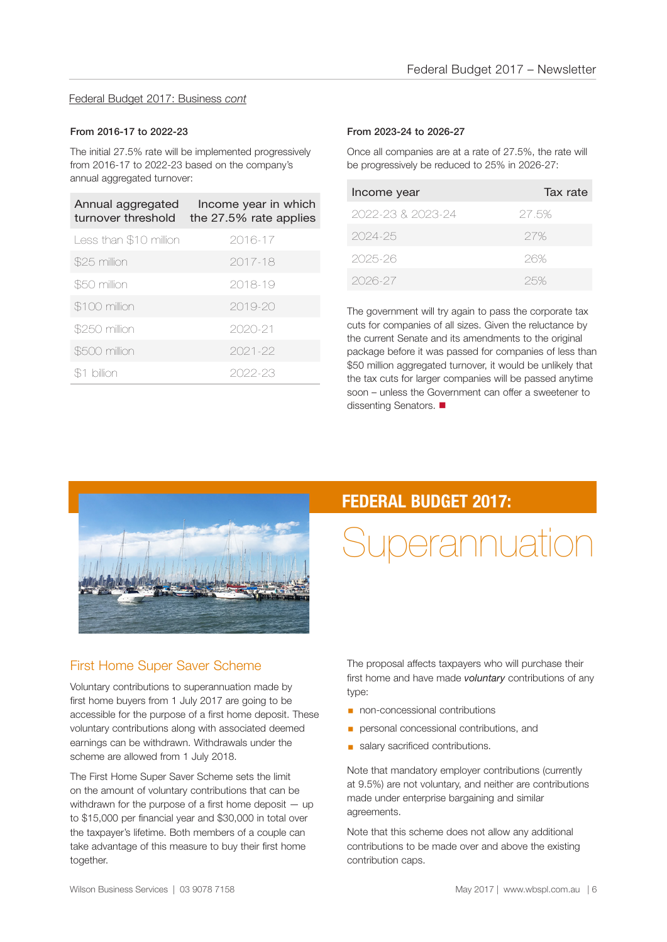#### Federal Budget 2017: Business *cont*

#### From 2016-17 to 2022-23

The initial 27.5% rate will be implemented progressively from 2016-17 to 2022-23 based on the company's annual aggregated turnover:

| Annual aggregated<br>turnover threshold | Income year in which<br>the 27.5% rate applies |
|-----------------------------------------|------------------------------------------------|
| Less than \$10 million                  | 2016-17                                        |
| \$25 million                            | 2017-18                                        |
| \$50 million                            | 2018-19                                        |
| \$100 million                           | $2019 - 20$                                    |
| \$250 million                           | 2020-21                                        |
| \$500 million                           | 2021-22                                        |
| billion                                 | 2022-23                                        |

#### From 2023-24 to 2026-27

Once all companies are at a rate of 27.5%, the rate will be progressively be reduced to 25% in 2026-27:

| Income year       | Tax rate |
|-------------------|----------|
| 2022-23 & 2023-24 | 27.5%    |
| 2024-25           | 27%      |
| 2025-26           | 26%      |
| 2026-27           | 25%      |

The government will try again to pass the corporate tax cuts for companies of all sizes. Given the reluctance by the current Senate and its amendments to the original package before it was passed for companies of less than \$50 million aggregated turnover, it would be unlikely that the tax cuts for larger companies will be passed anytime soon – unless the Government can offer a sweetener to dissenting Senators.



### First Home Super Saver Scheme

Voluntary contributions to superannuation made by first home buyers from 1 July 2017 are going to be accessible for the purpose of a first home deposit. These voluntary contributions along with associated deemed earnings can be withdrawn. Withdrawals under the scheme are allowed from 1 July 2018.

The First Home Super Saver Scheme sets the limit on the amount of voluntary contributions that can be withdrawn for the purpose of a first home deposit – up to \$15,000 per financial year and \$30,000 in total over the taxpayer's lifetime. Both members of a couple can take advantage of this measure to buy their first home together.

### **FEDERAL BUDGET 2017:**

## Superannuation

The proposal affects taxpayers who will purchase their first home and have made *voluntary* contributions of any type:

- non-concessional contributions
- **•** personal concessional contributions, and
- **salary sacrificed contributions.**

Note that mandatory employer contributions (currently at 9.5%) are not voluntary, and neither are contributions made under enterprise bargaining and similar agreements.

Note that this scheme does not allow any additional contributions to be made over and above the existing contribution caps.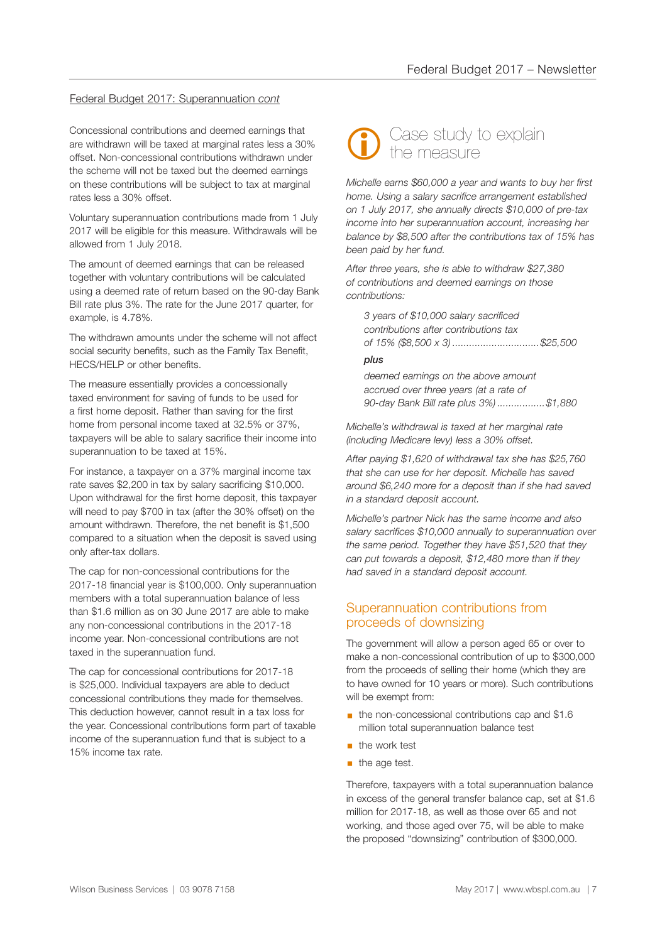### Federal Budget 2017: Superannuation *cont*

Concessional contributions and deemed earnings that are withdrawn will be taxed at marginal rates less a 30% offset. Non-concessional contributions withdrawn under the scheme will not be taxed but the deemed earnings on these contributions will be subject to tax at marginal rates less a 30% offset.

Voluntary superannuation contributions made from 1 July 2017 will be eligible for this measure. Withdrawals will be allowed from 1 July 2018.

The amount of deemed earnings that can be released together with voluntary contributions will be calculated using a deemed rate of return based on the 90-day Bank Bill rate plus 3%. The rate for the June 2017 quarter, for example, is 4.78%.

The withdrawn amounts under the scheme will not affect social security benefits, such as the Family Tax Benefit, HECS/HELP or other benefits.

The measure essentially provides a concessionally taxed environment for saving of funds to be used for a first home deposit. Rather than saving for the first home from personal income taxed at 32.5% or 37%, taxpayers will be able to salary sacrifice their income into superannuation to be taxed at 15%.

For instance, a taxpayer on a 37% marginal income tax rate saves \$2,200 in tax by salary sacrificing \$10,000. Upon withdrawal for the first home deposit, this taxpayer will need to pay \$700 in tax (after the 30% offset) on the amount withdrawn. Therefore, the net benefit is \$1,500 compared to a situation when the deposit is saved using only after-tax dollars.

The cap for non-concessional contributions for the 2017-18 financial year is \$100,000. Only superannuation members with a total superannuation balance of less than \$1.6 million as on 30 June 2017 are able to make any non-concessional contributions in the 2017-18 income year. Non-concessional contributions are not taxed in the superannuation fund.

The cap for concessional contributions for 2017-18 is \$25,000. Individual taxpayers are able to deduct concessional contributions they made for themselves. This deduction however, cannot result in a tax loss for the year. Concessional contributions form part of taxable income of the superannuation fund that is subject to a 15% income tax rate.



*Michelle earns \$60,000 a year and wants to buy her first home. Using a salary sacrifice arrangement established on 1 July 2017, she annually directs \$10,000 of pre-tax income into her superannuation account, increasing her balance by \$8,500 after the contributions tax of 15% has been paid by her fund.*

*After three years, she is able to withdraw \$27,380 of contributions and deemed earnings on those contributions:* 

*3 years of \$10,000 salary sacrificed contributions after contributions tax of 15% (\$8,500 x 3) ...............................\$25,500*

#### *plus*

*deemed earnings on the above amount accrued over three years (at a rate of 90-day Bank Bill rate plus 3%) .................\$1,880*

*Michelle's withdrawal is taxed at her marginal rate (including Medicare levy) less a 30% offset.* 

*After paying \$1,620 of withdrawal tax she has \$25,760 that she can use for her deposit. Michelle has saved around \$6,240 more for a deposit than if she had saved in a standard deposit account.*

*Michelle's partner Nick has the same income and also salary sacrifices \$10,000 annually to superannuation over the same period. Together they have \$51,520 that they can put towards a deposit, \$12,480 more than if they had saved in a standard deposit account.*

### Superannuation contributions from proceeds of downsizing

The government will allow a person aged 65 or over to make a non-concessional contribution of up to \$300,000 from the proceeds of selling their home (which they are to have owned for 10 years or more). Such contributions will be exempt from:

- the non-concessional contributions cap and \$1.6 million total superannuation balance test
- the work test
- $\blacksquare$  the age test.

Therefore, taxpayers with a total superannuation balance in excess of the general transfer balance cap, set at \$1.6 million for 2017-18, as well as those over 65 and not working, and those aged over 75, will be able to make the proposed "downsizing" contribution of \$300,000.